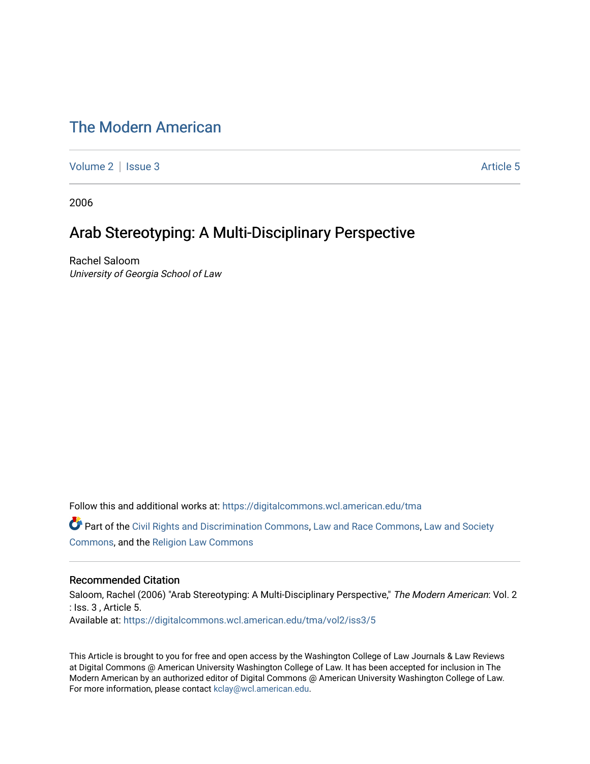# [The Modern American](https://digitalcommons.wcl.american.edu/tma)

[Volume 2](https://digitalcommons.wcl.american.edu/tma/vol2) | [Issue 3](https://digitalcommons.wcl.american.edu/tma/vol2/iss3) Article 5

2006

## Arab Stereotyping: A Multi-Disciplinary Perspective

Rachel Saloom University of Georgia School of Law

Follow this and additional works at: [https://digitalcommons.wcl.american.edu/tma](https://digitalcommons.wcl.american.edu/tma?utm_source=digitalcommons.wcl.american.edu%2Ftma%2Fvol2%2Fiss3%2F5&utm_medium=PDF&utm_campaign=PDFCoverPages) 

Part of the [Civil Rights and Discrimination Commons,](http://network.bepress.com/hgg/discipline/585?utm_source=digitalcommons.wcl.american.edu%2Ftma%2Fvol2%2Fiss3%2F5&utm_medium=PDF&utm_campaign=PDFCoverPages) [Law and Race Commons,](http://network.bepress.com/hgg/discipline/1300?utm_source=digitalcommons.wcl.american.edu%2Ftma%2Fvol2%2Fiss3%2F5&utm_medium=PDF&utm_campaign=PDFCoverPages) [Law and Society](http://network.bepress.com/hgg/discipline/853?utm_source=digitalcommons.wcl.american.edu%2Ftma%2Fvol2%2Fiss3%2F5&utm_medium=PDF&utm_campaign=PDFCoverPages)  [Commons](http://network.bepress.com/hgg/discipline/853?utm_source=digitalcommons.wcl.american.edu%2Ftma%2Fvol2%2Fiss3%2F5&utm_medium=PDF&utm_campaign=PDFCoverPages), and the [Religion Law Commons](http://network.bepress.com/hgg/discipline/872?utm_source=digitalcommons.wcl.american.edu%2Ftma%2Fvol2%2Fiss3%2F5&utm_medium=PDF&utm_campaign=PDFCoverPages)

### Recommended Citation

Saloom, Rachel (2006) "Arab Stereotyping: A Multi-Disciplinary Perspective," The Modern American: Vol. 2 : Iss. 3 , Article 5. Available at: [https://digitalcommons.wcl.american.edu/tma/vol2/iss3/5](https://digitalcommons.wcl.american.edu/tma/vol2/iss3/5?utm_source=digitalcommons.wcl.american.edu%2Ftma%2Fvol2%2Fiss3%2F5&utm_medium=PDF&utm_campaign=PDFCoverPages)

This Article is brought to you for free and open access by the Washington College of Law Journals & Law Reviews at Digital Commons @ American University Washington College of Law. It has been accepted for inclusion in The Modern American by an authorized editor of Digital Commons @ American University Washington College of Law. For more information, please contact [kclay@wcl.american.edu.](mailto:kclay@wcl.american.edu)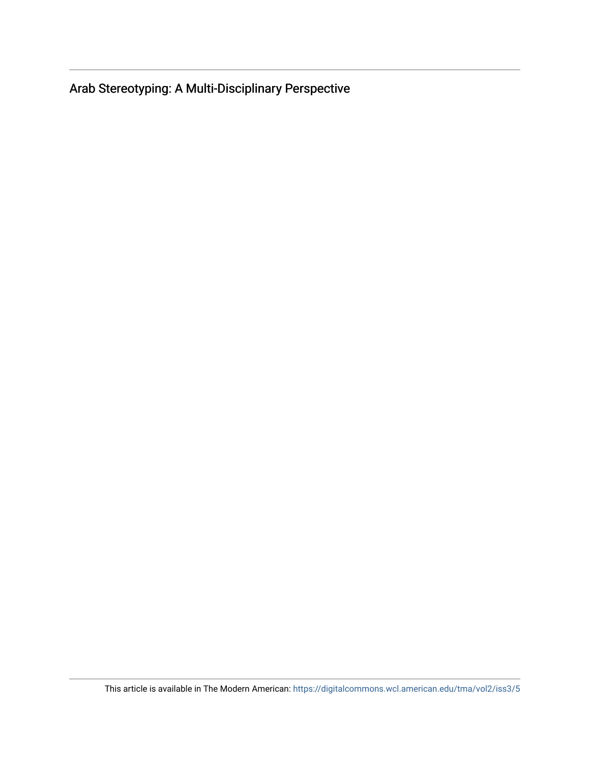Arab Stereotyping: A Multi-Disciplinary Perspective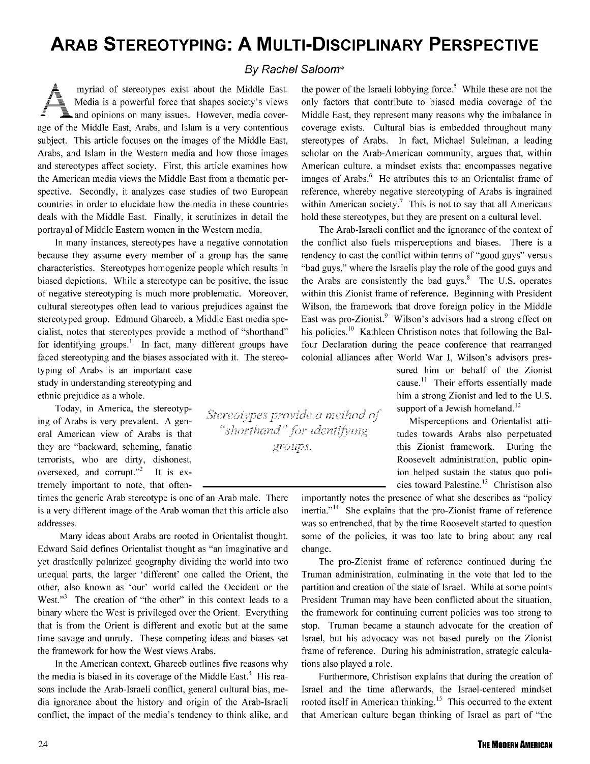# **ARAB STEREOTYPING: A MULTI-DISCIPLINARY PERSPECTIVE**

## *By* Rachel Saloom\*

myriad of stereotypes exist about the Middle East. the power of the Israeli lobbying force.<sup>5</sup> While these are not the  $\blacksquare$  and opinions on many issues. However, media coverage of the Middle East, Arabs, and Islam is a very contentious subject. This article focuses on the images of the Middle East, Arabs, and Islam in the Western media and how those images and stereotypes affect society. First, this article examines how the American media views the Middle East from a thematic perspective. Secondly, it analyzes case studies of two European countries in order to elucidate how the media in these countries deals with the Middle East. Finally, it scrutinizes in detail the portrayal of Middle Eastern women in the Western media.

In many instances, stereotypes have a negative connotation because they assume every member of a group has the same characteristics. Stereotypes homogenize people which results in biased depictions. While a stereotype can be positive, the issue of negative stereotyping is much more problematic. Moreover, cultural stereotypes often lead to various prejudices against the stereotyped group. Edmund Ghareeb, a Middle East media specialist, notes that stereotypes provide a method of "shorthand" for identifying groups.<sup>1</sup> In fact, many different groups have faced stereotyping and the biases associated with it. The stereo-

typing of Arabs is an important case study in understanding stereotyping and ethnic prejudice as a whole.

Today, in America, the stereotyping of Arabs is very prevalent. A general American view of Arabs is that they are "backward, scheming, fanatic terrorists, who are dirty, dishonest, oversexed, and corrupt."<sup>2</sup> It is extremely important to note, that often-

times the generic Arab stereotype is one of an Arab male. There is a very different image of the Arab woman that this article also addresses.

Many ideas about Arabs are rooted in Orientalist thought. Edward Said defines Orientalist thought as "an imaginative and yet drastically polarized geography dividing the world into two unequal parts, the larger 'different' one called the Orient, the other, also known as 'our' world called the Occident or the West." $3$  The creation of "the other" in this context leads to a binary where the West is privileged over the Orient. Everything that is from the Orient is different and exotic but at the same time savage and unruly. These competing ideas and biases set the framework for how the West views Arabs.

In the American context, Ghareeb outlines five reasons why the media is biased in its coverage of the Middle East.<sup>4</sup> His reasons include the Arab-Israeli conflict, general cultural bias, media ignorance about the history and origin of the Arab-Israeli conflict, the impact of the media's tendency to think alike, and

Media is a powerful force that shapes society's views only factors that contribute to biased media coverage of the Middle East, they represent many reasons why the imbalance in coverage exists. Cultural bias is embedded throughout many stereotypes of Arabs. In fact, Michael Suleiman, a leading scholar on the Arab-American community, argues that, within American culture, a mindset exists that encompasses negative images of Arabs.<sup>6</sup> He attributes this to an Orientalist frame of reference, whereby negative stereotyping of Arabs is ingrained within American society.<sup>7</sup> This is not to say that all Americans hold these stereotypes, but they are present on a cultural level.

> The Arab-Israeli conflict and the ignorance of the context of the conflict also fuels misperceptions and biases. There is a tendency to cast the conflict within terms of "good guys" versus "bad guys," where the Israelis play the role of the good guys and the Arabs are consistently the bad guys. $8$  The U.S. operates within this Zionist frame of reference. Beginning with President Wilson, the framework that drove foreign policy in the Middle East was pro-Zionist.<sup>9</sup> Wilson's advisors had a strong effect on his policies.<sup>10</sup> Kathleen Christison notes that following the Balfour Declaration during the peace conference that rearranged colonial alliances after World War I, Wilson's advisors pres-

sured him on behalf of the Zionist cause.<sup>11</sup> Their efforts essentially made him a strong Zionist and led to the U.S. support of a Jewish homeland. $^{12}$ 

Misperceptions and Orientalist attitudes towards Arabs also perpetuated this Zionist framework. During the Roosevelt administration, public opinion helped sustain the status quo policies toward Palestine.<sup>13</sup> Christison also

importantly notes the presence of what she describes as "policy  $inertia.$ <sup>14</sup> She explains that the pro-Zionist frame of reference was so entrenched, that by the time Roosevelt started to question some of the policies, it was too late to bring about any real change.

The pro-Zionist frame of reference continued during the Truman administration, culminating in the vote that led to the partition and creation of the state of Israel. While at some points President Truman may have been conflicted about the situation, the framework for continuing current policies was too strong to stop. Truman became a staunch advocate for the creation of Israel, but his advocacy was not based purely on the Zionist frame of reference. During his administration, strategic calculations also played a role.

Furthermore, Christison explains that during the creation of Israel and the time afterwards, the Israel-centered mindset rooted itself in American thinking.<sup>15</sup> This occurred to the extent that American culture began thinking of Israel as part of "the

**THE MODERN AMERICAN** 

Stereotypes provide a method of "shorthand" for identifying groups.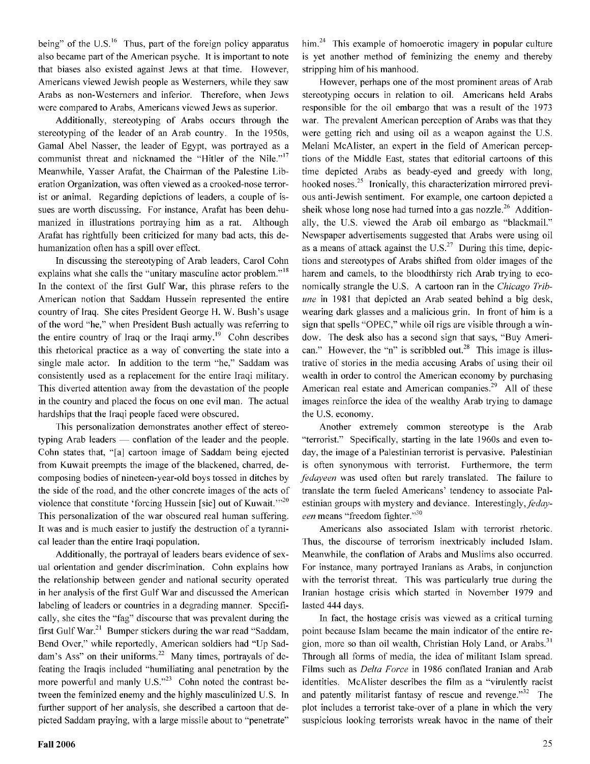being" of the  $U.S.<sup>16</sup>$  Thus, part of the foreign policy apparatus also became part of the American psyche. It is important to note that biases also existed against Jews at that time. However, Americans viewed Jewish people as Westerners, while they saw Arabs as non-Westerners and inferior. Therefore, when Jews were compared to Arabs, Americans viewed Jews as superior.

Additionally, stereotyping of Arabs occurs through the stereotyping of the leader of an Arab country. In the 1950s, Gamal Abel Nasser, the leader of Egypt, was portrayed as a communist threat and nicknamed the "Hitler of the Nile."<sup>17</sup> Meanwhile, Yasser Arafat, the Chairman of the Palestine Liberation Organization, was often viewed as a crooked-nose terrorist or animal. Regarding depictions of leaders, a couple of issues are worth discussing. For instance, Arafat has been dehumanized in illustrations portraying him as a rat. Although Arafat has rightfully been criticized for many bad acts, this dehumanization often has a spill over effect.

In discussing the stereotyping of Arab leaders, Carol Cohn explains what she calls the "unitary masculine actor problem."<sup>18</sup> In the context of the first Gulf War, this phrase refers to the American notion that Saddam Hussein represented the entire country of Iraq. She cites President George H. W. Bush's usage of the word "he," when President Bush actually was referring to the entire country of Iraq or the Iraqi army.<sup>19</sup> Cohn describes this rhetorical practice as a way of converting the state into a single male actor. In addition to the term "he," Saddam was consistently used as a replacement for the entire Iraqi military. This diverted attention away from the devastation of the people in the country and placed the focus on one evil man. The actual hardships that the Iraqi people faced were obscured.

This personalization demonstrates another effect of stereotyping Arab leaders — conflation of the leader and the people. Cohn states that, "[a] cartoon image of Saddam being ejected from Kuwait preempts the image of the blackened, charred, decomposing bodies of nineteen-year-old boys tossed in ditches by the side of the road, and the other concrete images of the acts of violence that constitute 'forcing Hussein [sic] out of Kuwait."<sup>20</sup> This personalization of the war obscured real human suffering. It was and is much easier to justify the destruction of a tyrannical leader than the entire Iraqi population.

Additionally, the portrayal of leaders bears evidence of sexual orientation and gender discrimination. Cohn explains how the relationship between gender and national security operated in her analysis of the first Gulf War and discussed the American labeling of leaders or countries in a degrading manner. Specifically, she cites the "fag" discourse that was prevalent during the first Gulf War.<sup>21</sup> Bumper stickers during the war read "Saddam, Bend Over," while reportedly, American soldiers had "Up Saddam's Ass" on their uniforms. $^{22}$  Many times, portrayals of defeating the Iraqis included "humiliating anal penetration by the more powerful and manly  $U.S.^{323}$  Cohn noted the contrast between the feminized enemy and the highly masculinized U.S. In further support of her analysis, she described a cartoon that depicted Saddam praying, with a large missile about to "penetrate"

him. $24$  This example of homoerotic imagery in popular culture is yet another method of feminizing the enemy and thereby stripping him of his manhood.

However, perhaps one of the most prominent areas of Arab stereotyping occurs in relation to oil. Americans held Arabs responsible for the oil embargo that was a result of the 1973 war. The prevalent American perception of Arabs was that they were getting rich and using oil as a weapon against the U.S. Melani McAlister, an expert in the field of American perceptions of the Middle East, states that editorial cartoons of this time depicted Arabs as beady-eyed and greedy with long, hooked noses.<sup>25</sup> Ironically, this characterization mirrored previous anti-Jewish sentiment. For example, one cartoon depicted a sheik whose long nose had turned into a gas nozzle.<sup>26</sup> Additionally, the U.S. viewed the Arab oil embargo as "blackmail." Newspaper advertisements suggested that Arabs were using oil as a means of attack against the  $\mathrm{U.S.}^{27}$  During this time, depictions and stereotypes of Arabs shifted from older images of the harem and camels, to the bloodthirsty rich Arab trying to economically strangle the U.S. A cartoon ran in the *Chicago Tribune* in 1981 that depicted an Arab seated behind a big desk, wearing dark glasses and a malicious grin. In front of him is a sign that spells "OPEC," while oil rigs are visible through a window. The desk also has a second sign that says, "Buy American." However, the "n" is scribbled out.<sup>28</sup> This image is illustrative of stories in the media accusing Arabs of using their oil wealth in order to control the American economy by purchasing American real estate and American companies.<sup>29</sup> All of these images reinforce the idea of the wealthy Arab trying to damage the U.S. economy.

Another extremely common stereotype is the Arab "terrorist." Specifically, starting in the late 1960s and even today, the image of a Palestinian terrorist is pervasive. Palestinian is often synonymous with terrorist. Furthermore, the term *fedayeen* was used often but rarely translated. The failure to translate the term fueled Americans' tendency to associate Palestinian groups with mystery and deviance. Interestingly, feday*een* means "freedom fighter."<sup>30</sup>

Americans also associated Islam with terrorist rhetoric. Thus, the discourse of terrorism inextricably included Islam. Meanwhile, the conflation of Arabs and Muslims also occurred. For instance, many portrayed Iranians as Arabs, in conjunction with the terrorist threat. This was particularly true during the Iranian hostage crisis which started in November 1979 and lasted 444 days.

In fact, the hostage crisis was viewed as a critical turning point because Islam became the main indicator of the entire region, more so than oil wealth, Christian Holy Land, or Arabs.<sup>31</sup> Through all forms of media, the idea of militant Islam spread. Films such as *Delta Force* in 1986 conflated Iranian and Arab identities. McAlister describes the film as a "virulently racist and patently militarist fantasy of rescue and revenge."<sup>32</sup> The plot includes a terrorist take-over of a plane in which the very suspicious looking terrorists wreak havoc in the name of their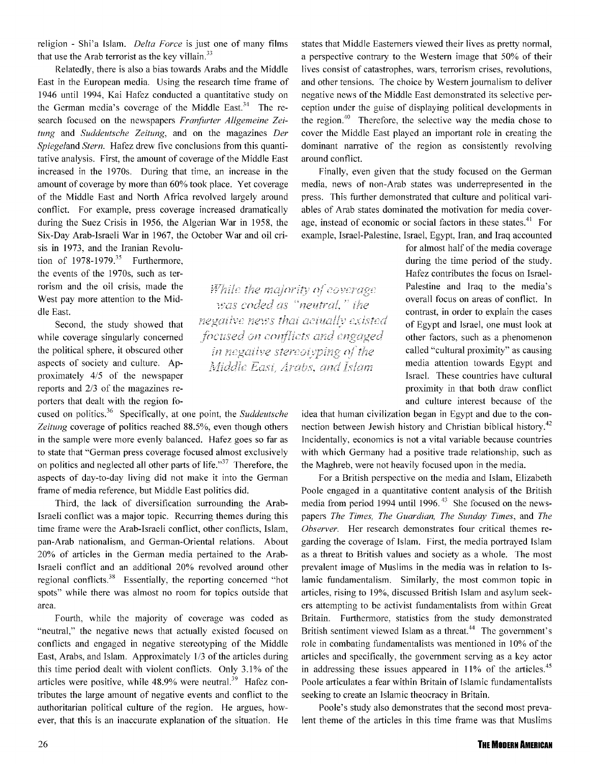religion - Shi'a Islam. *Delta Force* is just one of many films that use the Arab terrorist as the key villain. $33$ 

Relatedly, there is also a bias towards Arabs and the Middle East in the European media. Using the research time frame of 1946 until 1994, Kai Hafez conducted a quantitative study on the German media's coverage of the Middle East.<sup>34</sup> The research focused on the newspapers *Franfurter Allgemeine Zeitung* and *Suddeutsche Zeitung,* and on the magazines *Der Spiegeland Stern.* Hafez drew five conclusions from this quantitative analysis. First, the amount of coverage of the Middle East increased in the 1970s. During that time, an increase in the amount of coverage by more than 60% took place. Yet coverage of the Middle East and North Africa revolved largely around conflict. For example, press coverage increased dramatically during the Suez Crisis in 1956, the Algerian War in 1958, the Six-Day Arab-Israeli War in 1967, the October War and oil cri-

sis in 1973, and the Iranian Revolution of  $1978-1979$ .<sup>35</sup> Furthermore, the events of the 1970s, such as terrorism and the oil crisis, made the West pay more attention to the Middle East.

Second, the study showed that while coverage singularly concerned the political sphere, it obscured other aspects of society and culture. Approximately 4/5 of the newspaper reports and 2/3 of the magazines reporters that dealt with the region fo-

cused on politics.36 Specifically, at one point, the *Suddeutsche Zeitung* coverage of politics reached 88.5%, even though others in the sample were more evenly balanced. Hafez goes so far as to state that "German press coverage focused almost exclusively on politics and neglected all other parts of life."<sup>37</sup> Therefore, the aspects of day-to-day living did not make it into the German frame of media reference, but Middle East politics did.

Third, the lack of diversification surrounding the Arab-Israeli conflict was a major topic. Recurring themes during this time frame were the Arab-Israeli conflict, other conflicts, Islam, pan-Arab nationalism, and German-Oriental relations. About 20% of articles in the German media pertained to the Arab-Israeli conflict and an additional 20% revolved around other regional conflicts.<sup>38</sup> Essentially, the reporting concerned "hot spots" while there was almost no room for topics outside that area.

Fourth, while the majority of coverage was coded as "neutral," the negative news that actually existed focused on conflicts and engaged in negative stereotyping of the Middle East, Arabs, and Islam. Approximately 1/3 of the articles during this time period dealt with violent conflicts. Only 3.1% of the articles were positive, while  $48.9\%$  were neutral.<sup>39</sup> Hafez contributes the large amount of negative events and conflict to the authoritarian political culture of the region. He argues, however, that this is an inaccurate explanation of the situation. He states that Middle Easterners viewed their lives as pretty normal, a perspective contrary to the Western image that 50% of their lives consist of catastrophes, wars, terrorism crises, revolutions, and other tensions. The choice by Western journalism to deliver negative news of the Middle East demonstrated its selective perception under the guise of displaying political developments in the region.<sup>40</sup> Therefore, the selective way the media chose to cover the Middle East played an important role in creating the dominant narrative of the region as consistently revolving around conflict.

Finally, even given that the study focused on the German media, news of non-Arab states was underrepresented in the press. This further demonstrated that culture and political variables of Arab states dominated the motivation for media coverage, instead of economic or social factors in these states.<sup>41</sup> For example, Israel-Palestine, Israel, Egypt, Iran, and Iraq accounted

> for almost half of the media coverage during the time period of the study. Hafez contributes the focus on Israel-Palestine and Iraq to the media's overall focus on areas of conflict. In contrast, in order to explain the cases of Egypt and Israel, one must look at other factors, such as a phenomenon called "cultural proximity" as causing media attention towards Egypt and Israel. These countries have cultural proximity in that both draw conflict and culture interest because of the

idea that human civilization began in Egypt and due to the connection between Jewish history and Christian biblical history.<sup>42</sup> Incidentally, economics is not a vital variable because countries with which Germany had a positive trade relationship, such as the Maghreb, were not heavily focused upon in the media.

For a British perspective on the media and Islam, Elizabeth Poole engaged in a quantitative content analysis of the British media from period 1994 until 1996.  $43$  She focused on the newspapers *The Times, The Guardian, The Sunday Times,* and *The Observer.* Her research demonstrates four critical themes regarding the coverage of Islam. First, the media portrayed Islam as a threat to British values and society as a whole. The most prevalent image of Muslims in the media was in relation to Islamic fundamentalism. Similarly, the most common topic in articles, rising to 19%, discussed British Islam and asylum seekers attempting to be activist fundamentalists from within Great Britain. Furthermore, statistics from the study demonstrated British sentiment viewed Islam as a threat.<sup>44</sup> The government's role in combating fundamentalists was mentioned in 10% of the articles and specifically, the government serving as a key actor in addressing these issues appeared in  $11\%$  of the articles.<sup>45</sup> Poole articulates a fear within Britain of Islamic fundamentalists seeking to create an Islamic theocracy in Britain.

Poole's study also demonstrates that the second most prevalent theme of the articles in this time frame was that Muslims

While the majority of coverage was coded as "neutral," the negative news that actually existed focused on conflicts and engaged in negative stereotyping of the Middle East, Arabs, and Islam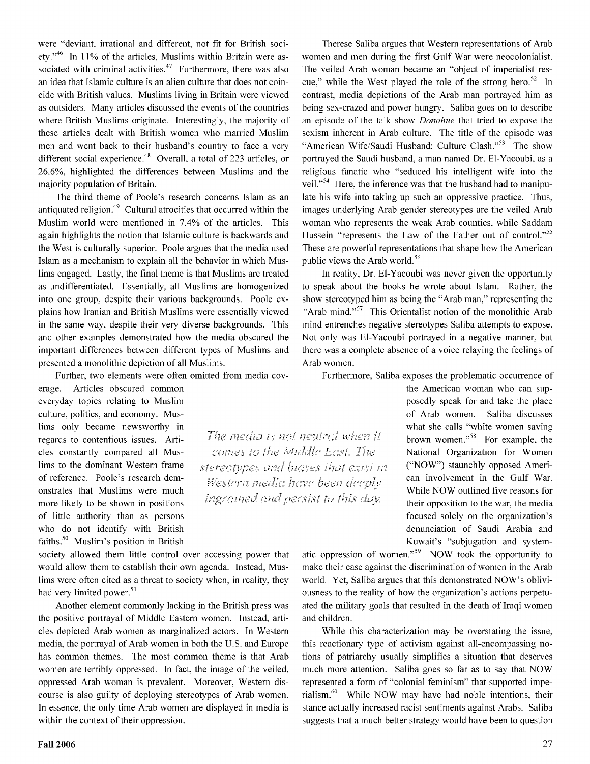were "deviant, irrational and different, not fit for British society."<sup>46</sup> In 11% of the articles, Muslims within Britain were associated with criminal activities. $47$  Furthermore, there was also an idea that Islamic culture is an alien culture that does not coincide with British values. Muslims living in Britain were viewed as outsiders. Many articles discussed the events of the countries where British Muslims originate. Interestingly, the majority of these articles dealt with British women who married Muslim men and went back to their husband's country to face a very different social experience.<sup>48</sup> Overall, a total of 223 articles, or 26.6%, highlighted the differences between Muslims and the majority population of Britain.

The third theme of Poole's research concerns Islam as an antiquated religion.<sup>49</sup> Cultural atrocities that occurred within the Muslim world were mentioned in 7.4% of the articles. This again highlights the notion that Islamic culture is backwards and the West is culturally superior. Poole argues that the media used Islam as a mechanism to explain all the behavior in which Muslims engaged. Lastly, the final theme is that Muslims are treated as undifferentiated. Essentially, all Muslims are homogenized into one group, despite their various backgrounds. Poole explains how Iranian and British Muslims were essentially viewed in the same way, despite their very diverse backgrounds. This and other examples demonstrated how the media obscured the important differences between different types of Muslims and presented a monolithic depiction of all Muslims.

Further, two elements were often omitted from media cov-

erage. Articles obscured common everyday topics relating to Muslim culture, politics, and economy. Muslims only became newsworthy in regards to contentious issues. Articles constantly compared all Muslims to the dominant Western frame of reference. Poole's research demonstrates that Muslims were much more likely to be shown in positions of little authority than as persons who do not identify with British faiths.<sup>50</sup> Muslim's position in British

society allowed them little control over accessing power that would allow them to establish their own agenda. Instead, Muslims were often cited as a threat to society when, in reality, they had very limited power.<sup>51</sup>

Another element commonly lacking in the British press was the positive portrayal of Middle Eastern women. Instead, articles depicted Arab women as marginalized actors. In Western media, the portrayal of Arab women in both the U.S. and Europe has common themes. The most common theme is that Arab women are terribly oppressed. In fact, the image of the veiled, oppressed Arab woman is prevalent. Moreover, Western discourse is also guilty of deploying stereotypes of Arab women. In essence, the only time Arab women are displayed in media is within the context of their oppression.

Therese Saliba argues that Western representations of Arab women and men during the first Gulf War were neocolonialist. The veiled Arab woman became an "object of imperialist rescue," while the West played the role of the strong hero.<sup>52</sup> In contrast, media depictions of the Arab man portrayed him as being sex-crazed and power hungry. Saliba goes on to describe an episode of the talk show *Donahue* that tried to expose the sexism inherent in Arab culture. The title of the episode was "American Wife/Saudi Husband: Culture Clash."<sup>53</sup> The show portrayed the Saudi husband, a man named Dr. El-Yacoubi, as a religious fanatic who "seduced his intelligent wife into the veil."<sup>54</sup> Here, the inference was that the husband had to manipulate his wife into taking up such an oppressive practice. Thus, images underlying Arab gender stereotypes are the veiled Arab woman who represents the weak Arab counties, while Saddam Hussein "represents the Law of the Father out of control."<sup>55</sup> These are powerful representations that shape how the American public views the Arab world.<sup>56</sup>

In reality, Dr. El-Yacoubi was never given the opportunity to speak about the books he wrote about Islam. Rather, the show stereotyped him as being the "Arab man," representing the "Arab mind." $57$  This Orientalist notion of the monolithic Arab mind entrenches negative stereotypes Saliba attempts to expose. Not only was El-Yacoubi portrayed in a negative manner, but there was a complete absence of a voice relaying the feelings of Arab women.

Furthermore, Saliba exposes the problematic occurrence of

The media is not neutral when it comes to the Middle East. The stereotypes and biases that exist in Western media have been deeply ingrained and persist to this day.

the American woman who can supposedly speak for and take the place of Arab women. Saliba discusses what she calls "white women saving brown women."58 For example, the National Organization for Women ("NOW") staunchly opposed American involvement in the Gulf War. While NOW outlined five reasons for their opposition to the war, the media focused solely on the organization's denunciation of Saudi Arabia and Kuwait's "subjugation and system-

atic oppression of women."59 NOW took the opportunity to make their case against the discrimination of women in the Arab world. Yet, Saliba argues that this demonstrated NOW's obliviousness to the reality of how the organization's actions perpetuated the military goals that resulted in the death of Iraqi women and children.

While this characterization may be overstating the issue, this reactionary type of activism against all-encompassing notions of patriarchy usually simplifies a situation that deserves much more attention. Saliba goes so far as to say that NOW represented a form of "colonial feminism" that supported imperialism. $60$  While NOW may have had noble intentions, their stance actually increased racist sentiments against Arabs. Saliba suggests that a much better strategy would have been to question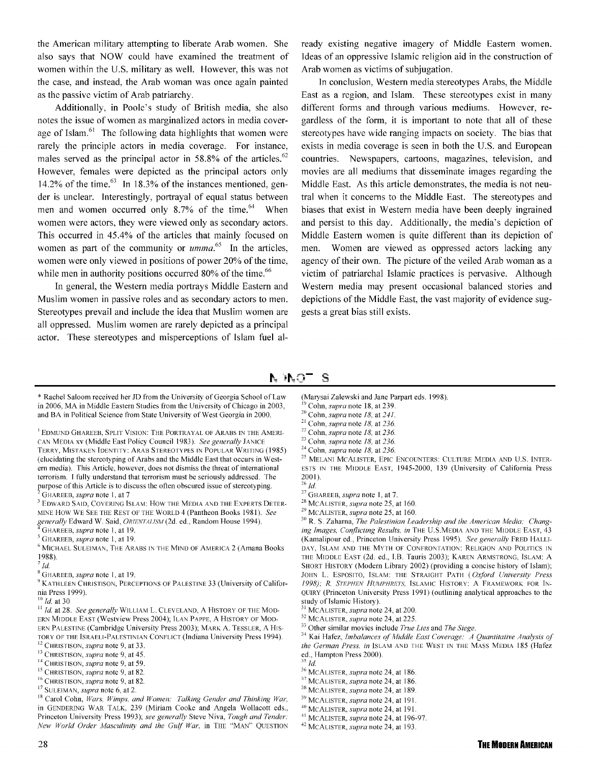the American military attempting to liberate Arab women. She also says that NOW could have examined the treatment of women within the U.S. military as well. However, this was not the case, and instead, the Arab woman was once again painted as the passive victim of Arab patriarchy.

Additionally, **in** Poole's study of British media, she also notes the issue of women as marginalized actors in media coverage of Islam.<sup>61</sup> The following data highlights that women were rarely the principle actors in media coverage. For instance, males served as the principal actor in 58.8% of the articles.<sup>62</sup> However, females were depicted as the principal actors only 14.2% of the time. $^{63}$  In 18.3% of the instances mentioned, gender is unclear. Interestingly, portrayal of equal status between men and women occurred only  $8.7\%$  of the time.<sup>64</sup> When women were actors, they were viewed only as secondary actors. This occurred in 45.4% of the articles that mainly focused on women as part of the community or  $umma$ <sup>55</sup>. In the articles, women were only viewed in positions of power 20% of the time, while men in authority positions occurred 80% of the time.<sup>66</sup>

In general, the Western media portrays Middle Eastern and Muslim women **in** passive roles and as secondary actors to men. Stereotypes prevail and include the idea that Muslim women are all oppressed. Muslim women are rarely depicted as a principal actor. These stereotypes and misperceptions of Islam fuel already existing negative imagery of Middle Eastern women. Ideas of an oppressive Islamic religion aid in the construction of Arab women as victims of subjugation.

In conclusion, Western media stereotypes Arabs, the Middle East as a region, and Islam. These stereotypes exist in many different forms and through various mediums. However, regardless of the form, it is important to note that all of these stereotypes have wide ranging impacts on society. The bias that exists in media coverage is seen in both the U.S. and European countries. Newspapers, cartoons, magazines, television, and movies are all mediums that disseminate images regarding the Middle East. As this article demonstrates, the media is not neutral when it concerns to the Middle East. The stereotypes and biases that exist **in** Western media have been deeply ingrained and persist to this day. Additionally, the media's depiction of Middle Eastern women is quite different than its depiction of men. Women are viewed as oppressed actors lacking any agency of their own. The picture of the veiled Arab woman as a victim of patriarchal Islamic practices is pervasive. Although Western media may present occasional balanced stories and depictions of the Middle East, the vast majority of evidence suggests a great bias still exists.

#### S N JNOT

\*Rachel Saloom received her JD from the University of Georgia School of Law in 2006, MA in Middle Eastern Studies from the University of Chicago in 2003, and BA in Political Science from State University of West Georgia in 2000.

 $^{\rm l}$  EDMUND GHAREEB, SPLIT VISION: THE PORTRAYAL OF ARABS IN THE AMERI-CAN MEDIA xv (Middle East Policy Council 1983 ). *See genera1ly* JANICE TERRY, MISTAKEN IDENTITY: ARAB STEREOTYPES IN POPULAR WRITING ( 1985) (elucidating the stereotyping of Arabs and the Middle East that occurs in Western media). This Article, however, does not dismiss the threat of international terrorism. I fully understand that terrorism must be seriously addressed. The

- <sup>2</sup> GHAREEB, *supra* note 1, at 7<br><sup>3</sup> Edward Said, Covering Islam: How the Media and the Experts Deter-MINE How WE SEE THE REST OF THE WORLD 4 (Pantheon Books 1981). *See generally* Edward W. Said, *ORIENTALISM* (2d. ed., Random House 1994).<br><sup>4</sup> GHAREEB, *supra* note 1, at 19. 5 GHAREEB, *supra* note 1, at 19.
- 
- 
- $^6$  MICHAEL SULEIMAN, THE ARABS IN THE MIND OF AMERICA 2 (Amana Books 1988).

(Marysai Zalewski and Jane Parpart eds. 1998).

- $\frac{26}{27}$ *Id.* <sup>27</sup> GHAREEB, *supra* note 1, at 7.
- 
- 

<sup>28</sup> MCALISTER, *supra* note 25, at 160.<br><sup>29</sup> MCALISTER, *supra* note 25, at 160. 2014. 2015 Paramerican Media: Chang-<sup>30</sup> R. S. Zaharna, *The Palestinian Leadership and the American Media: Changing Images, Conflicting Results, in* THE U.S. MEDIA AND THE MIDDLE EAST, 43 (Kamalipour ed., Princeton University Press 1995). *See generally* FRED HALLI-DAY, ISLAM AND THE MYTH OF CONFRONTATION: RELIGION AND POLITICS IN THE MIDDLE EAST (2d. ed., T.B. Tauris 2003); KAREN ARMSTRONG, ISLAM: A SHORT HISTORY (Modern Library 2002) (providing a concise history of Islam); JOHN L. ESPOSITO, ISLAM: THE STRAIGHT PATH *(Oxford University Press 1998); R. STEPHEN HUMPHREYS,* ISLAMIC HISTORY: A FRAMEWORK FOR IN-QUIRY (Princeton University Press 1991) (outlining analytical approaches to the

- 
- 
- 

study of Islamic History).<br><sup>31</sup> MCALISTER, *supra* note 24, at 200.<br><sup>32</sup> MCALISTER, *supra* note 24, at 225.<br><sup>33</sup> Other similar movies include *True Lies* and *The Siege*.<br><sup>34</sup> Kai Hafez, *Imbalances of Middle East Coverag the German Press. in* !SLAM AND THE WEST IN THE MASS MEDIA 185 (Hafez ed., Hampton Press 2000). 35 *Id.* 

<sup>&</sup>lt;sup>7</sup>*Id.*<br><sup>8</sup> GHAREEB, *supra* note 1, at 19.

<sup>&</sup>lt;sup>9</sup> KATHLEEN CHRISTISON, PERCEPTIONS OF PALESTINE 33 (University of Califor-<br>nia Press 1999).

<sup>&</sup>lt;sup>10</sup> *Id.* at 30 *Id. At 30 Id. At 30 at 29. Yearsta MCD-*<sup>11</sup> *Id.* at 28. *See generally* WILLIAM L. CLEVELAND, A HISTORY OF THE MOD-ERN MIDDLE EAST (Westview Press 2004); ILAN PAPPE, A HISTORY OF MOD-ERN PALESTINE (Cambridge University Press 2003); MARK A. TESSLER, A HIS-TORY OF THE ISRAELI-PALESTINIAN CONFLICT (Indiana University Press 1994). 12 CHRISTISON, *supra* note 9, at 33.

<sup>&</sup>lt;sup>14</sup> CHRISTISON, *supra* note 9, at 59.<br><sup>15</sup> CHRISTISON, *supra* note 9, at 82.<br><sup>16</sup> CHRISTISON, *supra* note 9, at 82.<br><sup>17</sup> SULEIMAN, *supra* note 6, at 2.<br><sup>18</sup> Carol Cohn, *Wars, Wimps, and Women: Talking Gender and Thi* in GENDERING WAR TALK, 239 (Miriam Cooke and Angela Wollacott eds., Princeton University Press 1993); *see general1y* Steve Niva, *Tough and Tender: New World Order Masculinity and the Gulf War,* in THE ·'MAN" QUESTION

<sup>&</sup>lt;sup>19</sup> Cohn, *supra* note 18, at 239.

<sup>°</sup> Cohn, *supra* note *I 8,* at *24 I.* 21 Cohn, *supra* note *I 8,* at *236.* 

<sup>22</sup> Cohn, *supra* note *18,* at *236.* 

<sup>23</sup> Cohn, *supra* note *I 8,* at *236.* 

<sup>24</sup> Cohn, *supra* note *I 8,* at *236.* 

<sup>25</sup> MELANI MCALISTER, EPIC ENCOUNTERS: CULTURE MEDIA AND U.S. INTER-ESTS IN THE MIDDLE EAST, 1945-2000, 139 (University of California Press 2001).

<sup>&</sup>lt;sup>36</sup> MCALISTER, *supra* note 24, at 186.<br><sup>37</sup> MCALISTER, *supra* note 24, at 186.<br><sup>38</sup> MCALISTER, *supra* note 24, at 189.<br><sup>39</sup> MCALISTER, *supra* note 24, at 191.<br><sup>40</sup> MCALISTER, *supra* note 24, at 196-97.<br><sup>41</sup> MCALISTE